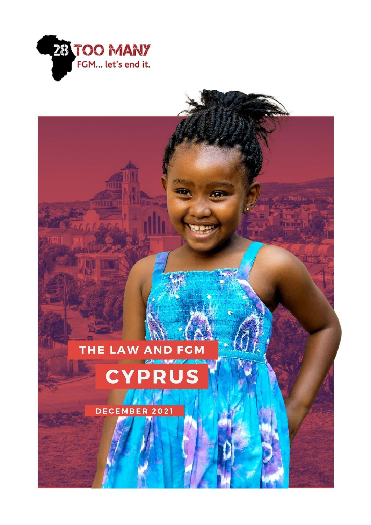

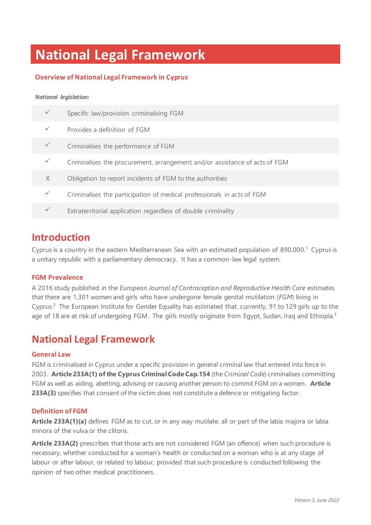# **National Legal Framework**

## **Overview of National Legal Framework in Cyprus**

#### *National legislation:*

|   | Specific law/provision criminalising FGM                                   |
|---|----------------------------------------------------------------------------|
|   | Provides a definition of FGM                                               |
|   | Criminalises the performance of FGM                                        |
|   | Criminalises the procurement, arrangement and/or assistance of acts of FGM |
| X | Obligation to report incidents of FGM to the authorities                   |
|   | Criminalises the participation of medical professionals in acts of FGM     |
|   | Extraterritorial application regardless of double criminality              |

# **Introduction**

Cyprus is a country in the eastern Mediterranean Sea with an estimated population of 890,000. <sup>1</sup> Cyprus is a unitary republic with a parliamentary democracy. It has a common-law legal system.

### **FGM Prevalence**

A 2016 study published in the *European Journal of Contraception and Reproductive Health Care* estimates that there are 1,301 women and girls who have undergone female genital mutilation (*FGM*) living in Cyprus.<sup>2</sup> The European Institute for Gender Equality has estimated that, currently, 91 to 129 girls up to the age of 18 are at risk of undergoing FGM. The girls mostly originate from Egypt, Sudan, Iraq and Ethiopia.<sup>3</sup>

# **National Legal Framework**

#### **General Law**

FGM is criminalised in Cyprus under a specific provision in general criminal law that entered into force in 2003. **Article 233A(1) of the Cyprus Criminal Code Cap.154** (the *Criminal Code*) criminalises committing FGM as well as aiding, abetting, advising or causing another person to commit FGM on a women. **Article 233A(3)** specifies that consent of the victim does not constitute a defence or mitigating factor.

#### **Definition of FGM**

**Article 233A(1)(a)** defines FGM as to cut, or in any way mutilate, all or part of the labia majora or labia minora of the vulva or the clitoris.

**Article 233A(2)** prescribes that those acts are not considered FGM (an offence) when such procedure is necessary, whether conducted for a woman's health or conducted on a woman who is at any stage of labour or after labour, or related to labour, provided that such procedure is conducted following the opinion of two other medical practitioners.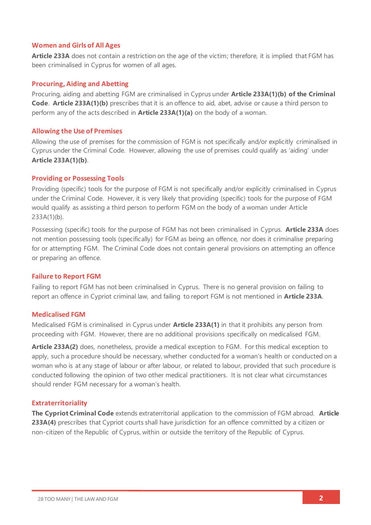### **Women and Girls of All Ages**

**Article 233A** does not contain a restriction on the age of the victim; therefore, it is implied that FGM has been criminalised in Cyprus for women of all ages.

#### **Procuring, Aiding and Abetting**

Procuring, aiding and abetting FGM are criminalised in Cyprus under **Article 233A(1)(b) of the Criminal Code**. **Article 233A(1)(b)** prescribes that it is an offence to aid, abet, advise or cause a third person to perform any of the acts described in **Article 233A(1)(a)** on the body of a woman.

#### **Allowing the Use of Premises**

Allowing the use of premises for the commission of FGM is not specifically and/or explicitly criminalised in Cyprus under the Criminal Code. However, allowing the use of premises could qualify as 'aiding' under **Article 233A(1)(b)**.

### **Providing or Possessing Tools**

Providing (specific) tools for the purpose of FGM is not specifically and/or explicitly criminalised in Cyprus under the Criminal Code. However, it is very likely that providing (specific) tools for the purpose of FGM would qualify as assisting a third person to perform FGM on the body of a woman under Article 233A(1)(b).

Possessing (specific) tools for the purpose of FGM has not been criminalised in Cyprus. **Article 233A** does not mention possessing tools (specifically) for FGM as being an offence, nor does it criminalise preparing for or attempting FGM. The Criminal Code does not contain general provisions on attempting an offence or preparing an offence.

#### **Failure to Report FGM**

Failing to report FGM has not been criminalised in Cyprus. There is no general provision on failing to report an offence in Cypriot criminal law, and failing to report FGM is not mentioned in **Article 233A**.

#### **Medicalised FGM**

Medicalised FGM is criminalised in Cyprus under **Article 233A(1)** in that it prohibits any person from proceeding with FGM. However, there are no additional provisions specifically on medicalised FGM.

**Article 233A(2)** does, nonetheless, provide a medical exception to FGM. For this medical exception to apply, such a procedure should be necessary, whether conducted for a woman's health or conducted on a woman who is at any stage of labour or after labour, or related to labour, provided that such procedure is conducted following the opinion of two other medical practitioners. It is not clear what circumstances should render FGM necessary for a woman's health.

### **Extraterritoriality**

**The Cypriot Criminal Code** extends extraterritorial application to the commission of FGM abroad. **Article** 233A(4) prescribes that Cypriot courts shall have jurisdiction for an offence committed by a citizen or non-citizen of the Republic of Cyprus, within or outside the territory of the Republic of Cyprus.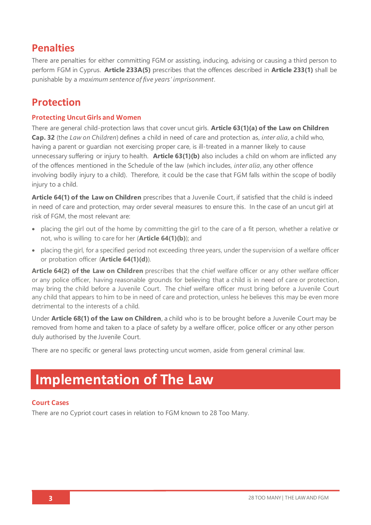# **Penalties**

There are penalties for either committing FGM or assisting, inducing, advising or causing a third person to perform FGM in Cyprus. **Article 233A(5)** prescribes that the offences described in **Article 233(1)** shall be punishable by a *maximum sentence of five years' imprisonment*.

# **Protection**

## **Protecting Uncut Girls and Women**

There are general child-protection laws that cover uncut girls. **Article 63(1)(a) of the Law on Children Cap. 32** (the *Law on Children*) defines a child in need of care and protection as, *inter alia*, a child who, having a parent or guardian not exercising proper care, is ill-treated in a manner likely to cause unnecessary suffering or injury to health. **Article 63(1)(b)** also includes a child on whom are inflicted any of the offences mentioned in the Schedule of the law (which includes, *inter alia*, any other offence involving bodily injury to a child). Therefore, it could be the case that FGM falls within the scope of bodily injury to a child.

**Article 64(1) of the Law on Children** prescribes that a Juvenile Court, if satisfied that the child is indeed in need of care and protection, may order several measures to ensure this. In the case of an uncut girl at risk of FGM, the most relevant are:

- placing the girl out of the home by committing the girl to the care of a fit person, whether a relative or not, who is willing to care for her (**Article 64(1)(b)**); and
- placing the girl, for a specified period not exceeding three years, under the supervision of a welfare officer or probation officer (**Article 64(1)(d)**).

**Article 64(2) of the Law on Children** prescribes that the chief welfare officer or any other welfare officer or any police officer, having reasonable grounds for believing that a child is in need of care or protection, may bring the child before a Juvenile Court. The chief welfare officer must bring before a Juvenile Court any child that appears to him to be in need of care and protection, unless he believes this may be even more detrimental to the interests of a child.

Under **Article 68(1) of the Law on Children**, a child who is to be brought before a Juvenile Court may be removed from home and taken to a place of safety by a welfare officer, police officer or any other person duly authorised by the Juvenile Court.

There are no specific or general laws protecting uncut women, aside from general criminal law.

# **Implementation of The Law**

## **Court Cases**

There are no Cypriot court cases in relation to FGM known to 28 Too Many.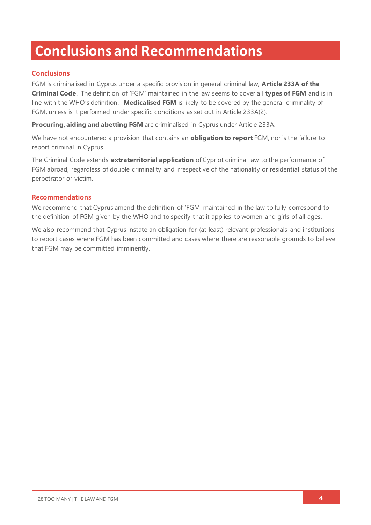# **Conclusions and Recommendations**

## **Conclusions**

FGM is criminalised in Cyprus under a specific provision in general criminal law, **Article 233A of the Criminal Code**. The definition of 'FGM' maintained in the law seems to cover all **types of FGM** and is in line with the WHO's definition. **Medicalised FGM** is likely to be covered by the general criminality of FGM, unless is it performed under specific conditions as set out in Article 233A(2).

**Procuring, aiding and abetting FGM** are criminalised in Cyprus under Article 233A.

We have not encountered a provision that contains an **obligation to report** FGM, nor is the failure to report criminal in Cyprus.

The Criminal Code extends **extraterritorial application** of Cypriot criminal law to the performance of FGM abroad, regardless of double criminality and irrespective of the nationality or residential status of the perpetrator or victim.

### **Recommendations**

We recommend that Cyprus amend the definition of 'FGM' maintained in the law to fully correspond to the definition of FGM given by the WHO and to specify that it applies to women and girls of all ages.

We also recommend that Cyprus instate an obligation for (at least) relevant professionals and institutions to report cases where FGM has been committed and cases where there are reasonable grounds to believe that FGM may be committed imminently.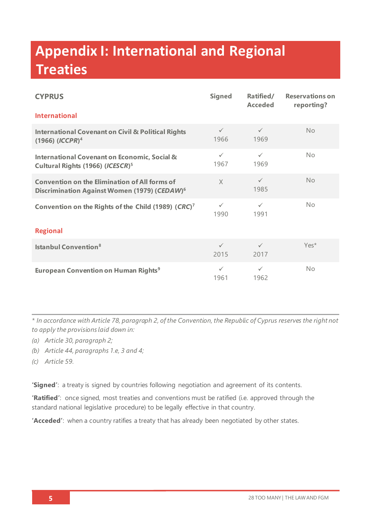# **Appendix I: International and Regional Treaties**

| <b>CYPRUS</b>                                                                                                    | <b>Signed</b>        | Ratified/<br><b>Acceded</b> | <b>Reservations on</b><br>reporting? |  |
|------------------------------------------------------------------------------------------------------------------|----------------------|-----------------------------|--------------------------------------|--|
| <b>International</b>                                                                                             |                      |                             |                                      |  |
| <b>International Covenant on Civil &amp; Political Rights</b><br>$(1966)$ $(ICCPR)^4$                            | $\checkmark$<br>1966 | $\checkmark$<br>1969        | <b>No</b>                            |  |
| <b>International Covenant on Economic, Social &amp;</b><br>Cultural Rights (1966) (ICESCR) <sup>5</sup>          | $\checkmark$<br>1967 | $\checkmark$<br>1969        | No                                   |  |
| <b>Convention on the Elimination of All forms of</b><br>Discrimination Against Women (1979) (CEDAW) <sup>6</sup> | $\times$             | $\checkmark$<br>1985        | No                                   |  |
| Convention on the Rights of the Child (1989) (CRC) <sup>7</sup>                                                  | $\checkmark$<br>1990 | $\checkmark$<br>1991        | No                                   |  |
| <b>Regional</b>                                                                                                  |                      |                             |                                      |  |
| <b>Istanbul Convention</b> <sup>8</sup>                                                                          | $\checkmark$<br>2015 | $\checkmark$<br>2017        | Yes*                                 |  |
| <b>European Convention on Human Rights<sup>9</sup></b>                                                           | $\checkmark$<br>1961 | $\checkmark$<br>1962        | No                                   |  |

*\* In accordance with Article 78, paragraph 2, of the Convention, the Republic of Cyprus reserves the right not to apply the provisions laid down in:*

- *(a) Article 30, paragraph 2;*
- *(b) Article 44, paragraphs 1.e, 3 and 4;*
- *(c) Article 59.*

**'Signed'**: a treaty is signed by countries following negotiation and agreement of its contents.

**'Ratified'**: once signed, most treaties and conventions must be ratified (i.e. approved through the standard national legislative procedure) to be legally effective in that country.

**'Acceded'**: when a country ratifies a treaty that has already been negotiated by other states.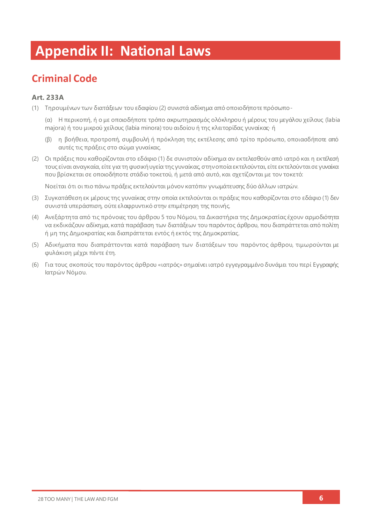# **Appendix II: National Laws**

# **Criminal Code**

## **Art. 233A**

- (1) Τηρουμένων των διατάξεων του εδαφίου (2) συνιστά αδίκημα από οποιοδήποτε πρόσωπο-
	- (α) Η περικοπή, ή ο με οποιοδήποτε τρόπο ακρωτηριασμός ολόκληρου ή μέρους του μεγάλου χείλους (labia majora) ή του μικρού χείλους (labia minora) του αιδοίου ή της κλειτορίδας γυναίκας· ή
	- (β) η βοήθεια, προτροπή, συμβουλή ή πρόκληση της εκτέλεσης από τρίτο πρόσωπο, οποιασδήποτε από αυτές τις πράξεις στο σώμα γυναίκας.
- (2) Οι πράξεις που καθορίζονται στο εδάφιο (1) δε συνιστούν αδίκημα αν εκτελεσθούν από ιατρό και η εκτέλεσή τους είναι αναγκαία, είτε για τη φυσική υγεία της γυναίκας, στην οποία εκτελούνται, είτε εκτελούνται σε γυναίκα που βρίσκεται σε οποιοδήποτε στάδιο τοκετού, ή μετά από αυτό, και σχετίζονται με τον τοκετό:

Νοείται ότι οι πιο πάνω πράξεις εκτελούνται μόνον κατόπιν γνωμάτευσης δύο άλλων ιατρών.

- (3) Συγκατάθεση εκ μέρους της γυναίκας στην οποία εκτελούνται οι πράξεις που καθορίζονται στο εδάφιο (1) δεν συνιστά υπεράσπιση, ούτε ελαφρυντικό στην επιμέτρηση της ποινής.
- (4) Ανεξάρτητα από τις πρόνοιες του άρθρου 5 του Νόμου, τα Δικαστήρια της Δημοκρατίας έχουν αρμοδιότητα να εκδικάζουν αδίκημα, κατά παράβαση των διατάξεων του παρόντος άρθρου, που διαπράττεται από πολίτη ή μη της Δημοκρατίας και διαπράττεται εντός ή εκτός της Δημοκρατίας.
- (5) Αδικήματα που διαπράττονται κατά παράβαση των διατάξεων του παρόντος άρθρου, τιμωρούνται με φυλάκιση μέχρι πέντε έτη.
- (6) Για τους σκοπούς του παρόντος άρθρου «ιατρός» σημαίνει ιατρό εγγεγραμμένο δυνάμει του περί Εγγραφής Ιατρών Νόμου.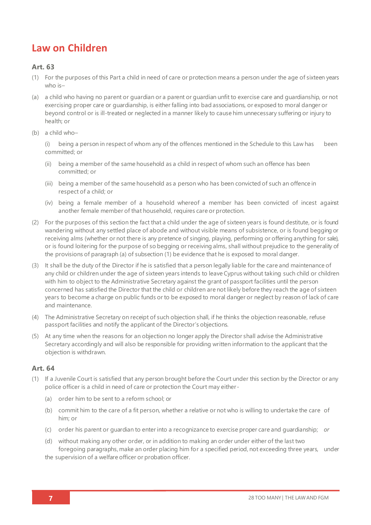# **Law on Children**

## **Art. 63**

- (1) For the purposes of this Part a child in need of care or protection means a person under the age of sixteen years who is–
- (a) a child who having no parent or guardian or a parent or guardian unfit to exercise care and guardianship, or not exercising proper care or guardianship, is either falling into bad associations, or exposed to moral danger or beyond control or is ill-treated or neglected in a manner likely to cause him unnecessary suffering or injury to health; or
- (b) a child who–

(i) being a person in respect of whom any of the offences mentioned in the Schedule to this Law has been committed; or

- (ii) being a member of the same household as a child in respect of whom such an offence has been committed; or
- (iii) being a member of the same household as a person who has been convicted of such an offence in respect of a child; or
- (iv) being a female member of a household whereof a member has been convicted of incest against another female member of that household, requires care or protection.
- (2) For the purposes of this section the fact that a child under the age of sixteen years is found destitute, or is found wandering without any settled place of abode and without visible means of subsistence, or is found begging or receiving alms (whether or not there is any pretence of singing, playing, performing or offering anything for sale), or is found loitering for the purpose of so begging or receiving alms, shall without prejudice to the generality of the provisions of paragraph (a) of subsection (1) be evidence that he is exposed to moral danger.
- (3) It shall be the duty of the Director if he is satisfied that a person legally liable for the care and maintenance of any child or children under the age of sixteen years intends to leave Cyprus without taking such child or children with him to object to the Administrative Secretary against the grant of passport facilities until the person concerned has satisfied the Director that the child or children are not likely before they reach the age of sixteen years to become a charge on public funds or to be exposed to moral danger or neglect by reason of lack of care and maintenance.
- (4) The Administrative Secretary on receipt of such objection shall, if he thinks the objection reasonable, refuse passport facilities and notify the applicant of the Director's objections.
- (5) At any time when the reasons for an objection no longer apply the Director shall advise the Administrative Secretary accordingly and will also be responsible for providing written information to the applicant that the objection is withdrawn.

### **Art. 64**

- (1) If a Juvenile Court is satisfied that any person brought before the Court under this section by the Director or any police officer is a child in need of care or protection the Court may either -
	- (a) order him to be sent to a reform school; or
	- (b) commit him to the care of a fit person, whether a relative or not who is willing to undertake the care of him; or
	- (c) order his parent or guardian to enter into a recognizance to exercise proper care and guardianship; *or*
	- (d) without making any other order, or in addition to making an order under either of the last two foregoing paragraphs, make an order placing him for a specified period, not exceeding three years, under the supervision of a welfare officer or probation officer.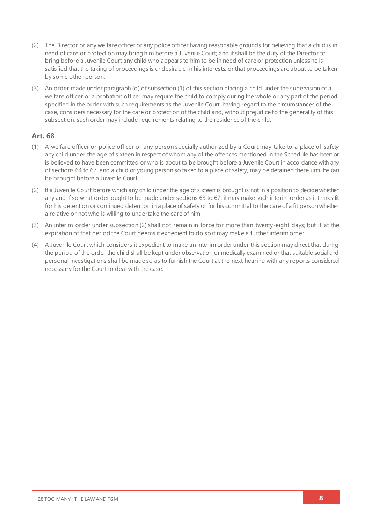- (2) The Director or any welfare officer or any police officer having reasonable grounds for believing that a child is in need of care or protection may bring him before a Juvenile Court; and it shall be the duty of the Director to bring before a Juvenile Court any child who appears to him to be in need of care or protection unless he is satisfied that the taking of proceedings is undesirable in his interests, or that proceedings are about to be taken by some other person.
- (3) An order made under paragraph (d) of subsection (1) of this section placing a child under the supervision of a welfare officer or a probation officer may require the child to comply during the whole or any part of the period specified in the order with such requirements as the Juvenile Court, having regard to the circumstances of the case, considers necessary for the care or protection of the child and, without prejudice to the generality of this subsection, such order may include requirements relating to the residence of the child.

## **Art. 68**

- (1) A welfare officer or police officer or any person specially authorized by a Court may take to a place of safety any child under the age of sixteen in respect of whom any of the offences mentioned in the Schedule has been or is believed to have been committed or who is about to be brought before a Juvenile Court in accordance with any of sections 64 to 67, and a child or young person so taken to a place of safety, may be detained there until he can be brought before a Juvenile Court.
- (2) If a Juvenile Court before which any child under the age of sixteen is brought is not in a position to decide whether any and if so what order ought to be made under sections 63 to 67, it may make such interim order as it thinks fit for his detention or continued detention in a place of safety or for his committal to the care of a fit person whether a relative or not who is willing to undertake the care of him.
- (3) An interim order under subsection (2) shall not remain in force for more than twenty-eight days; but if at the expiration of that period the Court deems it expedient to do so it may make a further interim order.
- (4) A Juvenile Court which considers it expedient to make an interim order under this section may direct that during the period of the order the child shall be kept under observation or medically examined or that suitable social and personal investigations shall be made so as to furnish the Court at the next hearing with any reports considered necessary for the Court to deal with the case.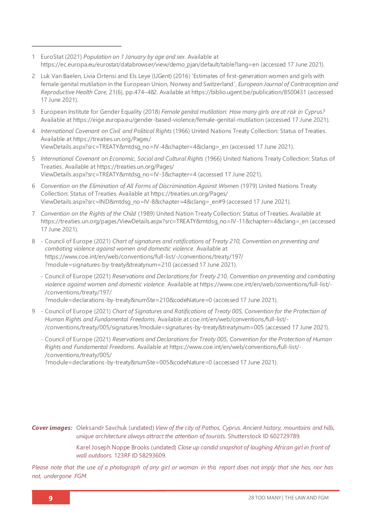- 1 EuroStat (2021) *Population on 1 January by age and sex*. Available at [https://ec.europa.eu/eurostat/databrowser/view/demo\\_pjan/default/table?lang=en](https://ec.europa.eu/eurostat/databrowser/view/demo_pjan/default/table?lang=en) (accessed 17 June 2021).
- 2 Luk Van Baelen, Livia Ortensi and Els Leye (UGent) (2016) 'Estimates of first-generation women and girls with female genital mutilation in the European Union, Norway and Switzerland', *European Journal of Contraception and Reproductive Health Care*, 21(6), pp.474–482. Available a[t https://biblio.ugent.be/publication/8500431](https://biblio.ugent.be/publication/8500431) (accessed 17 June 2021).
- 3 European Institute for Gender Equality (2018) *Female genital mutilation: How many girls are at risk in Cyprus?* Available at <https://eige.europa.eu/gender-based-violence/female-genital-mutilation> (accessed 17 June 2021).
- 4 *International Covenant on Civil and Political Rights* (1966) United Nations Treaty Collection: Status of Treaties*.* Available a[t https://treaties.un.org/Pages/](https://treaties.un.org/Pages/ViewDetails.aspx?src=TREATY&mtdsg_no=IV-4&chapter=4&clang=_en) [ViewDetails.aspx?src=TREATY&mtdsg\\_no=IV-4&chapter=4&clang=\\_en](https://treaties.un.org/Pages/ViewDetails.aspx?src=TREATY&mtdsg_no=IV-4&chapter=4&clang=_en) (accessed 17 June 2021).
- 5 *International Covenant on Economic, Social and Cultural Rights* (1966) United Nations Treaty Collection: Status of Treaties. Available a[t https://treaties.un.org/Pages/](https://treaties.un.org/Pages/ViewDetails.aspx?src=TREATY&mtdsg_no=IV-3&chapter=4) [ViewDetails.aspx?src=TREATY&mtdsg\\_no=IV-3&chapter=4](https://treaties.un.org/Pages/ViewDetails.aspx?src=TREATY&mtdsg_no=IV-3&chapter=4) (accessed 17 June 2021).
- 6 *Convention on the Elimination of All Forms of Discrimination Against Women* (1979) United Nations Treaty Collection: Status of Treaties. Available a[t https://treaties.un.org/Pages/](https://treaties.un.org/Pages/ViewDetails.aspx?src=IND&mtdsg_no=IV-8&chapter=4&clang=_en#9) [ViewDetails.aspx?src=IND&mtdsg\\_no=IV-8&chapter=4&clang=\\_en#9](https://treaties.un.org/Pages/ViewDetails.aspx?src=IND&mtdsg_no=IV-8&chapter=4&clang=_en#9) (accessed 17 June 2021).
- 7 *Convention on the Rights of the Child* (1989) United Nation Treaty Collection: Status of Treaties. Available at [https://treaties.un.org/pages/ViewDetails.aspx?src=TREATY&mtdsg\\_no=IV-11&chapter=4&clang=\\_en](https://treaties.un.org/pages/ViewDetails.aspx?src=TREATY&mtdsg_no=IV-11&chapter=4&clang=_en) (accessed 17 June 2021).
- 8 Council of Europe (2021) *Chart of signatures and ratifications of Treaty 210, Convention on preventing and combating violence against women and domestic violence*. Available at [https://www.coe.int/en/web/conventions/full-list/-/conventions/treaty/197/](https://www.coe.int/en/web/conventions/full-list/-/conventions/treaty/197/?module=signatures-by-treaty&treatynum=210) [?module=signatures-by-treaty&treatynum=210](https://www.coe.int/en/web/conventions/full-list/-/conventions/treaty/197/?module=signatures-by-treaty&treatynum=210) (accessed 17 June 2021).
	- Council of Europe (2021) *Reservations and Declarations for Treaty 210, Convention on preventing and combating violence against women and domestic violence*. Available a[t https://www.coe.int/en/web/conventions/full-list/-](https://www.coe.int/en/web/conventions/full-list/-/conventions/treaty/197/?module=declarations-by-treaty&numSte=210&codeNature=0) [/conventions/treaty/197/](https://www.coe.int/en/web/conventions/full-list/-/conventions/treaty/197/?module=declarations-by-treaty&numSte=210&codeNature=0)

[?module=declarations-by-treaty&numSte=210&codeNature=0](https://www.coe.int/en/web/conventions/full-list/-/conventions/treaty/197/?module=declarations-by-treaty&numSte=210&codeNature=0) (accessed 17 June 2021).

- 9 Council of Europe (2021) *Chart of Signatures and Ratifications of Treaty 005, Convention for the Protection of Human Rights and Fundamental Freedoms*. Available a[t coe.int/en/web/conventions/full-list/-](file:///C:/Users/Danica/Desktop/Law%20Reports/coe.int/en/web/conventions/full-list/-/conventions/treaty/005/signatures) [/conventions/treaty/005/signatures?module=signatures-by-treaty&treatynum=005](file:///C:/Users/Danica/Desktop/Law%20Reports/coe.int/en/web/conventions/full-list/-/conventions/treaty/005/signatures) (accessed 17 June 2021).
	- Council of Europe (2021) *Reservations and Declarations for Treaty 005, Convention for the Protection of Human Rights and Fundamental Freedoms*. Available a[t https://www.coe.int/en/web/conventions/full-list/-](https://www.coe.int/en/web/conventions/full-list/-/conventions/treaty/005/?module=declarations-by-treaty&numSte=005&codeNature=0) [/conventions/treaty/005/](https://www.coe.int/en/web/conventions/full-list/-/conventions/treaty/005/?module=declarations-by-treaty&numSte=005&codeNature=0)

[?module=declarations-by-treaty&numSte=005&codeNature=0](https://www.coe.int/en/web/conventions/full-list/-/conventions/treaty/005/?module=declarations-by-treaty&numSte=005&codeNature=0) (accessed 17 June 2021).

*Cover images:* Oleksandr Savchuk (undated) *View of the city of Pathos, Cyprus. Ancient history, mountains and hills, unique architecture always attract the attention of tourists.* Shutterstock ID 602729789*.*

> Karel Joseph Noppe Brooks (undated) *Close up candid snapshot of laughing African girl in front of wall outdoors.* 123RF ID 58293609.

*Please note that the use of a photograph of any girl or woman in this report does not imply that she has, nor has not, undergone FGM.*